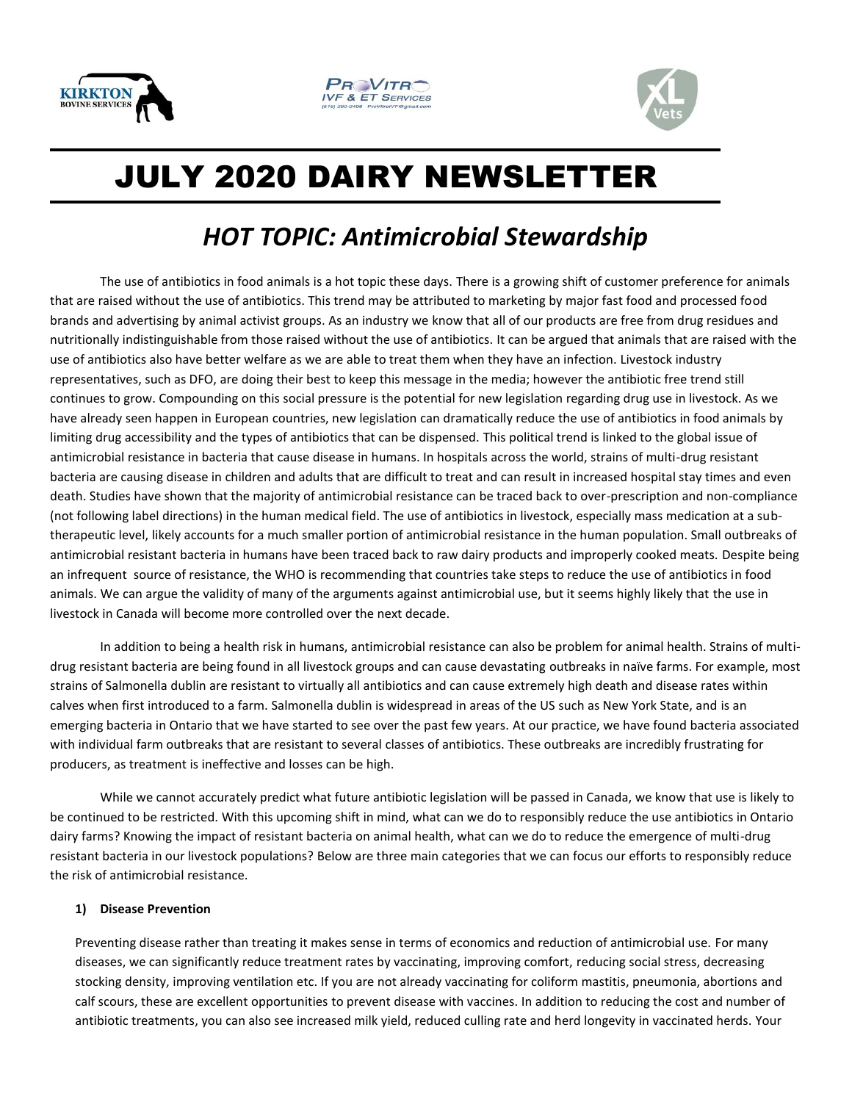





# JULY 2020 DAIRY NEWSLETTER

## *HOT TOPIC: Antimicrobial Stewardship*

The use of antibiotics in food animals is a hot topic these days. There is a growing shift of customer preference for animals that are raised without the use of antibiotics. This trend may be attributed to marketing by major fast food and processed food brands and advertising by animal activist groups. As an industry we know that all of our products are free from drug residues and nutritionally indistinguishable from those raised without the use of antibiotics. It can be argued that animals that are raised with the use of antibiotics also have better welfare as we are able to treat them when they have an infection. Livestock industry representatives, such as DFO, are doing their best to keep this message in the media; however the antibiotic free trend still continues to grow. Compounding on this social pressure is the potential for new legislation regarding drug use in livestock. As we have already seen happen in European countries, new legislation can dramatically reduce the use of antibiotics in food animals by limiting drug accessibility and the types of antibiotics that can be dispensed. This political trend is linked to the global issue of antimicrobial resistance in bacteria that cause disease in humans. In hospitals across the world, strains of multi-drug resistant bacteria are causing disease in children and adults that are difficult to treat and can result in increased hospital stay times and even death. Studies have shown that the majority of antimicrobial resistance can be traced back to over-prescription and non-compliance (not following label directions) in the human medical field. The use of antibiotics in livestock, especially mass medication at a subtherapeutic level, likely accounts for a much smaller portion of antimicrobial resistance in the human population. Small outbreaks of antimicrobial resistant bacteria in humans have been traced back to raw dairy products and improperly cooked meats. Despite being an infrequent source of resistance, the WHO is recommending that countries take steps to reduce the use of antibiotics in food animals. We can argue the validity of many of the arguments against antimicrobial use, but it seems highly likely that the use in livestock in Canada will become more controlled over the next decade.

In addition to being a health risk in humans, antimicrobial resistance can also be problem for animal health. Strains of multidrug resistant bacteria are being found in all livestock groups and can cause devastating outbreaks in naïve farms. For example, most strains of Salmonella dublin are resistant to virtually all antibiotics and can cause extremely high death and disease rates within calves when first introduced to a farm. Salmonella dublin is widespread in areas of the US such as New York State, and is an emerging bacteria in Ontario that we have started to see over the past few years. At our practice, we have found bacteria associated with individual farm outbreaks that are resistant to several classes of antibiotics. These outbreaks are incredibly frustrating for producers, as treatment is ineffective and losses can be high.

While we cannot accurately predict what future antibiotic legislation will be passed in Canada, we know that use is likely to be continued to be restricted. With this upcoming shift in mind, what can we do to responsibly reduce the use antibiotics in Ontario dairy farms? Knowing the impact of resistant bacteria on animal health, what can we do to reduce the emergence of multi-drug resistant bacteria in our livestock populations? Below are three main categories that we can focus our efforts to responsibly reduce the risk of antimicrobial resistance.

#### **1) Disease Prevention**

Preventing disease rather than treating it makes sense in terms of economics and reduction of antimicrobial use. For many diseases, we can significantly reduce treatment rates by vaccinating, improving comfort, reducing social stress, decreasing stocking density, improving ventilation etc. If you are not already vaccinating for coliform mastitis, pneumonia, abortions and calf scours, these are excellent opportunities to prevent disease with vaccines. In addition to reducing the cost and number of antibiotic treatments, you can also see increased milk yield, reduced culling rate and herd longevity in vaccinated herds. Your